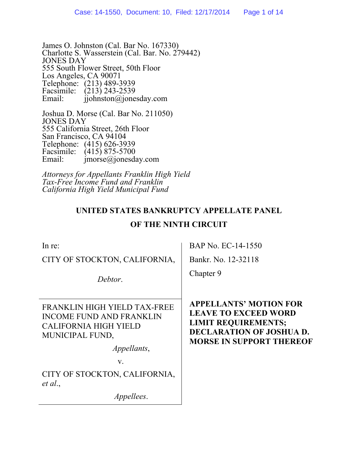James O. Johnston (Cal. Bar No. 167330) Charlotte S. Wasserstein (Cal. Bar. No. 279442) JONES DAY 555 South Flower Street, 50th Floor Los Angeles, CA 90071 Telephone: (213) 489-3939 Facsimile:  $(213)$  243-2539<br>Email: ijohnston@ione  $\hat{\mathbf{i}}$ iohnston $\hat{\mathbf{\omega}}$ jonesday.com

Joshua D. Morse (Cal. Bar No. 211050) JONES DAY 555 California Street, 26th Floor San Francisco, CA 94104 Telephone: (415) 626-3939 Facsimile:  $(415) 875-5700$ <br>Email: imorse@ionesda  $imorse@jonesday.com$ 

*Attorneys for Appellants Franklin High Yield Tax-Free Income Fund and Franklin California High Yield Municipal Fund* 

# **UNITED STATES BANKRUPTCY APPELLATE PANEL**

## **OF THE NINTH CIRCUIT**

| In re:                                                                                                             | BAP No. EC-14-1550                                                                                                                                               |
|--------------------------------------------------------------------------------------------------------------------|------------------------------------------------------------------------------------------------------------------------------------------------------------------|
| CITY OF STOCKTON, CALIFORNIA,                                                                                      | Bankr. No. 12-32118                                                                                                                                              |
| Debtor.                                                                                                            | Chapter 9                                                                                                                                                        |
| FRANKLIN HIGH YIELD TAX-FREE<br><b>INCOME FUND AND FRANKLIN</b><br><b>CALIFORNIA HIGH YIELD</b><br>MUNICIPAL FUND, | <b>APPELLANTS' MOTION FOR</b><br><b>LEAVE TO EXCEED WORD</b><br><b>LIMIT REQUIREMENTS;</b><br><b>DECLARATION OF JOSHUA D.</b><br><b>MORSE IN SUPPORT THEREOF</b> |
| Appellants,                                                                                                        |                                                                                                                                                                  |
| $V_{\cdot}$                                                                                                        |                                                                                                                                                                  |
| CITY OF STOCKTON, CALIFORNIA,<br>et al.,                                                                           |                                                                                                                                                                  |
| <i>Appellees.</i>                                                                                                  |                                                                                                                                                                  |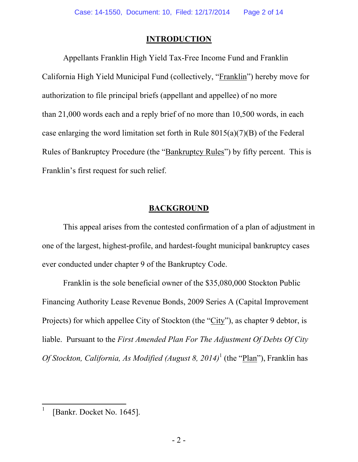#### **INTRODUCTION**

Appellants Franklin High Yield Tax-Free Income Fund and Franklin California High Yield Municipal Fund (collectively, "Franklin") hereby move for authorization to file principal briefs (appellant and appellee) of no more than 21,000 words each and a reply brief of no more than 10,500 words, in each case enlarging the word limitation set forth in Rule 8015(a)(7)(B) of the Federal Rules of Bankruptcy Procedure (the "Bankruptcy Rules") by fifty percent. This is Franklin's first request for such relief.

### **BACKGROUND**

This appeal arises from the contested confirmation of a plan of adjustment in one of the largest, highest-profile, and hardest-fought municipal bankruptcy cases ever conducted under chapter 9 of the Bankruptcy Code.

Franklin is the sole beneficial owner of the \$35,080,000 Stockton Public Financing Authority Lease Revenue Bonds, 2009 Series A (Capital Improvement Projects) for which appellee City of Stockton (the "City"), as chapter 9 debtor, is liable. Pursuant to the *First Amended Plan For The Adjustment Of Debts Of City Of Stockton, California, As Modified (August 8, 2014)*<sup>1</sup> (the "Plan"), Franklin has

<sup>1</sup> [Bankr. Docket No. 1645].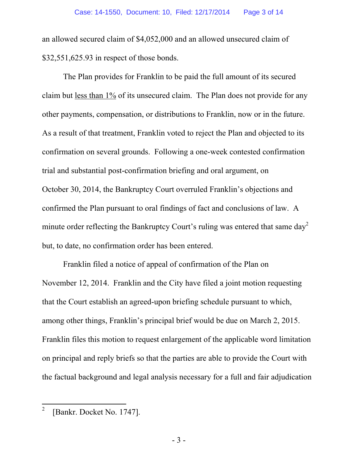an allowed secured claim of \$4,052,000 and an allowed unsecured claim of \$32,551,625.93 in respect of those bonds.

The Plan provides for Franklin to be paid the full amount of its secured claim but less than 1% of its unsecured claim. The Plan does not provide for any other payments, compensation, or distributions to Franklin, now or in the future. As a result of that treatment, Franklin voted to reject the Plan and objected to its confirmation on several grounds. Following a one-week contested confirmation trial and substantial post-confirmation briefing and oral argument, on October 30, 2014, the Bankruptcy Court overruled Franklin's objections and confirmed the Plan pursuant to oral findings of fact and conclusions of law. A minute order reflecting the Bankruptcy Court's ruling was entered that same  $day^2$ but, to date, no confirmation order has been entered.

Franklin filed a notice of appeal of confirmation of the Plan on November 12, 2014. Franklin and the City have filed a joint motion requesting that the Court establish an agreed-upon briefing schedule pursuant to which, among other things, Franklin's principal brief would be due on March 2, 2015. Franklin files this motion to request enlargement of the applicable word limitation on principal and reply briefs so that the parties are able to provide the Court with the factual background and legal analysis necessary for a full and fair adjudication

<sup>2</sup> [Bankr. Docket No. 1747].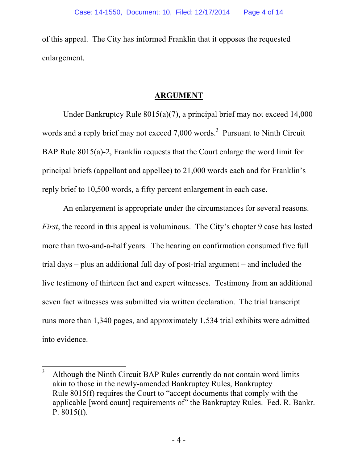of this appeal. The City has informed Franklin that it opposes the requested enlargement.

#### **ARGUMENT**

Under Bankruptcy Rule 8015(a)(7), a principal brief may not exceed 14,000 words and a reply brief may not exceed  $7,000$  words.<sup>3</sup> Pursuant to Ninth Circuit BAP Rule 8015(a)-2, Franklin requests that the Court enlarge the word limit for principal briefs (appellant and appellee) to 21,000 words each and for Franklin's reply brief to 10,500 words, a fifty percent enlargement in each case.

An enlargement is appropriate under the circumstances for several reasons. *First*, the record in this appeal is voluminous. The City's chapter 9 case has lasted more than two-and-a-half years. The hearing on confirmation consumed five full trial days – plus an additional full day of post-trial argument – and included the live testimony of thirteen fact and expert witnesses. Testimony from an additional seven fact witnesses was submitted via written declaration. The trial transcript runs more than 1,340 pages, and approximately 1,534 trial exhibits were admitted into evidence.

<sup>3</sup> Although the Ninth Circuit BAP Rules currently do not contain word limits akin to those in the newly-amended Bankruptcy Rules, Bankruptcy Rule 8015(f) requires the Court to "accept documents that comply with the applicable [word count] requirements of" the Bankruptcy Rules. Fed. R. Bankr. P. 8015(f).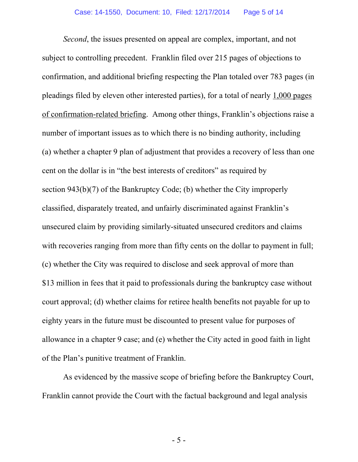*Second*, the issues presented on appeal are complex, important, and not subject to controlling precedent. Franklin filed over 215 pages of objections to confirmation, and additional briefing respecting the Plan totaled over 783 pages (in pleadings filed by eleven other interested parties), for a total of nearly 1,000 pages of confirmation-related briefing. Among other things, Franklin's objections raise a number of important issues as to which there is no binding authority, including (a) whether a chapter 9 plan of adjustment that provides a recovery of less than one cent on the dollar is in "the best interests of creditors" as required by section 943(b)(7) of the Bankruptcy Code; (b) whether the City improperly classified, disparately treated, and unfairly discriminated against Franklin's unsecured claim by providing similarly-situated unsecured creditors and claims with recoveries ranging from more than fifty cents on the dollar to payment in full; (c) whether the City was required to disclose and seek approval of more than \$13 million in fees that it paid to professionals during the bankruptcy case without court approval; (d) whether claims for retiree health benefits not payable for up to eighty years in the future must be discounted to present value for purposes of allowance in a chapter 9 case; and (e) whether the City acted in good faith in light of the Plan's punitive treatment of Franklin.

As evidenced by the massive scope of briefing before the Bankruptcy Court, Franklin cannot provide the Court with the factual background and legal analysis

- 5 -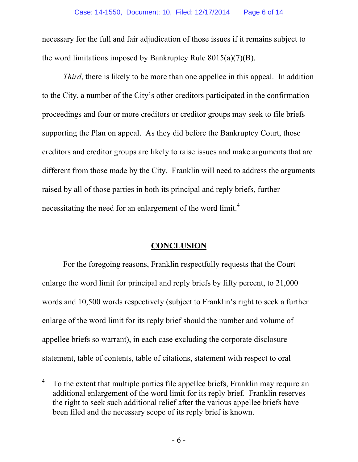necessary for the full and fair adjudication of those issues if it remains subject to the word limitations imposed by Bankruptcy Rule  $8015(a)(7)(B)$ .

*Third*, there is likely to be more than one appellee in this appeal. In addition to the City, a number of the City's other creditors participated in the confirmation proceedings and four or more creditors or creditor groups may seek to file briefs supporting the Plan on appeal. As they did before the Bankruptcy Court, those creditors and creditor groups are likely to raise issues and make arguments that are different from those made by the City. Franklin will need to address the arguments raised by all of those parties in both its principal and reply briefs, further necessitating the need for an enlargement of the word limit.<sup>4</sup>

#### **CONCLUSION**

For the foregoing reasons, Franklin respectfully requests that the Court enlarge the word limit for principal and reply briefs by fifty percent, to 21,000 words and 10,500 words respectively (subject to Franklin's right to seek a further enlarge of the word limit for its reply brief should the number and volume of appellee briefs so warrant), in each case excluding the corporate disclosure statement, table of contents, table of citations, statement with respect to oral

<sup>4</sup> To the extent that multiple parties file appellee briefs, Franklin may require an additional enlargement of the word limit for its reply brief. Franklin reserves the right to seek such additional relief after the various appellee briefs have been filed and the necessary scope of its reply brief is known.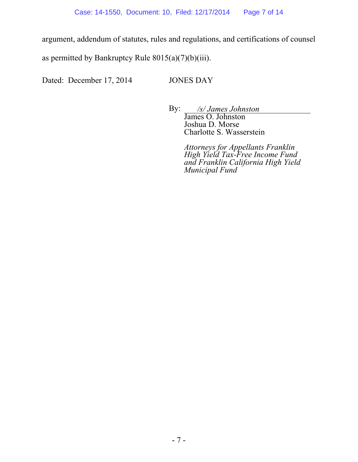argument, addendum of statutes, rules and regulations, and certifications of counsel

as permitted by Bankruptcy Rule  $8015(a)(7)(b)(iii)$ .

Dated: December 17, 2014 JONES DAY

 By: */s/ James Johnston*  James O. Johnston Joshua D. Morse Charlotte S. Wasserstein

> *Attorneys for Appellants Franklin High Yield Tax-Free Income Fund and Franklin California High Yield Municipal Fund*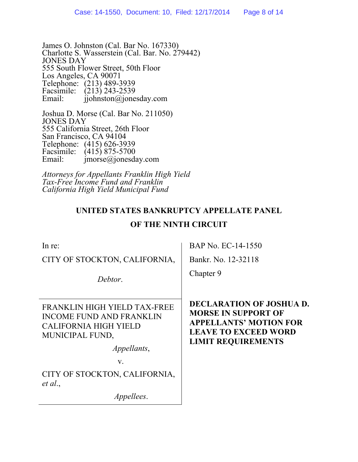James O. Johnston (Cal. Bar No. 167330) Charlotte S. Wasserstein (Cal. Bar. No. 279442) JONES DAY 555 South Flower Street, 50th Floor Los Angeles, CA 90071 Telephone: (213) 489-3939 Facsimile:  $(213)$  243-2539<br>Email: ijohnston@ione  $\hat{\mathbf{i}}$ iohnston $\hat{\mathbf{\omega}}$ jonesday.com

Joshua D. Morse (Cal. Bar No. 211050) JONES DAY 555 California Street, 26th Floor San Francisco, CA 94104 Telephone: (415) 626-3939 Facsimile:  $(415) 875-5700$ <br>Email: imorse@ionesda  $imorse@jonesday.com$ 

*Attorneys for Appellants Franklin High Yield Tax-Free Income Fund and Franklin California High Yield Municipal Fund* 

# **UNITED STATES BANKRUPTCY APPELLATE PANEL**

## **OF THE NINTH CIRCUIT**

| In re:                                                                                                             | BAP No. EC-14-1550                                                                                                                                         |
|--------------------------------------------------------------------------------------------------------------------|------------------------------------------------------------------------------------------------------------------------------------------------------------|
| CITY OF STOCKTON, CALIFORNIA,                                                                                      | Bankr. No. 12-32118                                                                                                                                        |
| Debtor.                                                                                                            | Chapter 9                                                                                                                                                  |
| FRANKLIN HIGH YIELD TAX-FREE<br><b>INCOME FUND AND FRANKLIN</b><br><b>CALIFORNIA HIGH YIELD</b><br>MUNICIPAL FUND, | <b>DECLARATION OF JOSHUA D.</b><br><b>MORSE IN SUPPORT OF</b><br><b>APPELLANTS' MOTION FOR</b><br><b>LEAVE TO EXCEED WORD</b><br><b>LIMIT REQUIREMENTS</b> |
| <i>Appellants,</i>                                                                                                 |                                                                                                                                                            |
| V.                                                                                                                 |                                                                                                                                                            |
| CITY OF STOCKTON, CALIFORNIA,<br>et al.,                                                                           |                                                                                                                                                            |
| <i>Appellees.</i>                                                                                                  |                                                                                                                                                            |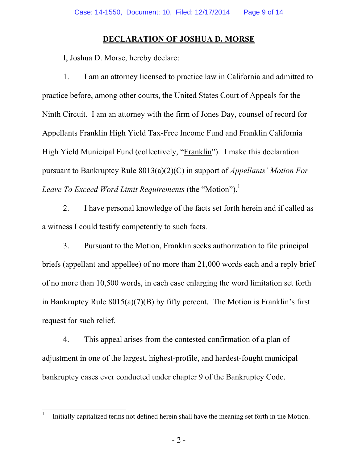## **DECLARATION OF JOSHUA D. MORSE**

I, Joshua D. Morse, hereby declare:

1. I am an attorney licensed to practice law in California and admitted to practice before, among other courts, the United States Court of Appeals for the Ninth Circuit. I am an attorney with the firm of Jones Day, counsel of record for Appellants Franklin High Yield Tax-Free Income Fund and Franklin California High Yield Municipal Fund (collectively, "Franklin"). I make this declaration pursuant to Bankruptcy Rule 8013(a)(2)(C) in support of *Appellants' Motion For Leave To Exceed Word Limit Requirements* (the "Motion").<sup>1</sup>

2. I have personal knowledge of the facts set forth herein and if called as a witness I could testify competently to such facts.

3. Pursuant to the Motion, Franklin seeks authorization to file principal briefs (appellant and appellee) of no more than 21,000 words each and a reply brief of no more than 10,500 words, in each case enlarging the word limitation set forth in Bankruptcy Rule 8015(a)(7)(B) by fifty percent. The Motion is Franklin's first request for such relief.

4. This appeal arises from the contested confirmation of a plan of adjustment in one of the largest, highest-profile, and hardest-fought municipal bankruptcy cases ever conducted under chapter 9 of the Bankruptcy Code.

 $\frac{1}{1}$ Initially capitalized terms not defined herein shall have the meaning set forth in the Motion.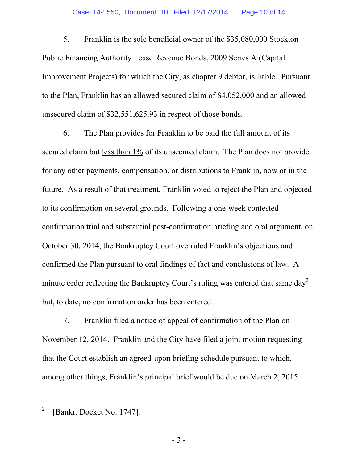5. Franklin is the sole beneficial owner of the \$35,080,000 Stockton Public Financing Authority Lease Revenue Bonds, 2009 Series A (Capital Improvement Projects) for which the City, as chapter 9 debtor, is liable. Pursuant to the Plan, Franklin has an allowed secured claim of \$4,052,000 and an allowed unsecured claim of \$32,551,625.93 in respect of those bonds.

6. The Plan provides for Franklin to be paid the full amount of its secured claim but <u>less than 1%</u> of its unsecured claim. The Plan does not provide for any other payments, compensation, or distributions to Franklin, now or in the future. As a result of that treatment, Franklin voted to reject the Plan and objected to its confirmation on several grounds. Following a one-week contested confirmation trial and substantial post-confirmation briefing and oral argument, on October 30, 2014, the Bankruptcy Court overruled Franklin's objections and confirmed the Plan pursuant to oral findings of fact and conclusions of law. A minute order reflecting the Bankruptcy Court's ruling was entered that same  $day^2$ but, to date, no confirmation order has been entered.

7. Franklin filed a notice of appeal of confirmation of the Plan on November 12, 2014. Franklin and the City have filed a joint motion requesting that the Court establish an agreed-upon briefing schedule pursuant to which, among other things, Franklin's principal brief would be due on March 2, 2015.

<sup>2</sup> [Bankr. Docket No. 1747].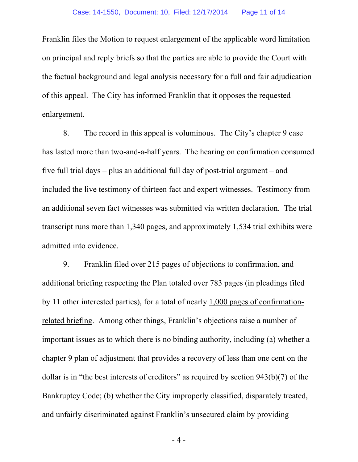Franklin files the Motion to request enlargement of the applicable word limitation on principal and reply briefs so that the parties are able to provide the Court with the factual background and legal analysis necessary for a full and fair adjudication of this appeal. The City has informed Franklin that it opposes the requested enlargement.

8. The record in this appeal is voluminous. The City's chapter 9 case has lasted more than two-and-a-half years. The hearing on confirmation consumed five full trial days – plus an additional full day of post-trial argument – and included the live testimony of thirteen fact and expert witnesses. Testimony from an additional seven fact witnesses was submitted via written declaration. The trial transcript runs more than 1,340 pages, and approximately 1,534 trial exhibits were admitted into evidence.

9. Franklin filed over 215 pages of objections to confirmation, and additional briefing respecting the Plan totaled over 783 pages (in pleadings filed by 11 other interested parties), for a total of nearly 1,000 pages of confirmationrelated briefing. Among other things, Franklin's objections raise a number of important issues as to which there is no binding authority, including (a) whether a chapter 9 plan of adjustment that provides a recovery of less than one cent on the dollar is in "the best interests of creditors" as required by section 943(b)(7) of the Bankruptcy Code; (b) whether the City improperly classified, disparately treated, and unfairly discriminated against Franklin's unsecured claim by providing

- 4 -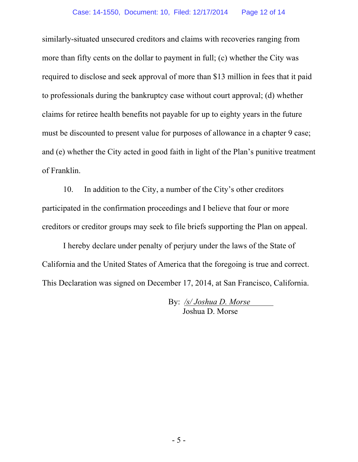similarly-situated unsecured creditors and claims with recoveries ranging from more than fifty cents on the dollar to payment in full; (c) whether the City was required to disclose and seek approval of more than \$13 million in fees that it paid to professionals during the bankruptcy case without court approval; (d) whether claims for retiree health benefits not payable for up to eighty years in the future must be discounted to present value for purposes of allowance in a chapter 9 case; and (e) whether the City acted in good faith in light of the Plan's punitive treatment of Franklin.

10. In addition to the City, a number of the City's other creditors participated in the confirmation proceedings and I believe that four or more creditors or creditor groups may seek to file briefs supporting the Plan on appeal.

I hereby declare under penalty of perjury under the laws of the State of California and the United States of America that the foregoing is true and correct. This Declaration was signed on December 17, 2014, at San Francisco, California.

> By: */s/ Joshua D. Morse*  Joshua D. Morse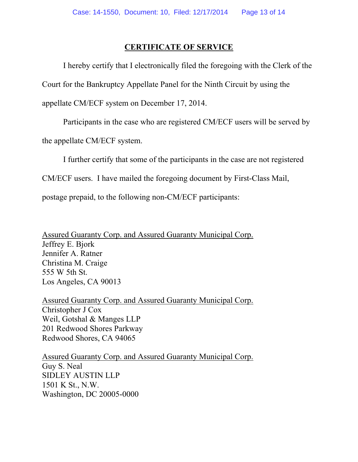#### **CERTIFICATE OF SERVICE**

 I hereby certify that I electronically filed the foregoing with the Clerk of the Court for the Bankruptcy Appellate Panel for the Ninth Circuit by using the appellate CM/ECF system on December 17, 2014.

Participants in the case who are registered CM/ECF users will be served by

the appellate CM/ECF system.

I further certify that some of the participants in the case are not registered

CM/ECF users. I have mailed the foregoing document by First-Class Mail,

postage prepaid, to the following non-CM/ECF participants:

Assured Guaranty Corp. and Assured Guaranty Municipal Corp. Jeffrey E. Bjork Jennifer A. Ratner Christina M. Craige 555 W 5th St. Los Angeles, CA 90013

Assured Guaranty Corp. and Assured Guaranty Municipal Corp. Christopher J Cox Weil, Gotshal & Manges LLP 201 Redwood Shores Parkway Redwood Shores, CA 94065

Assured Guaranty Corp. and Assured Guaranty Municipal Corp. Guy S. Neal SIDLEY AUSTIN LLP 1501 K St., N.W. Washington, DC 20005-0000